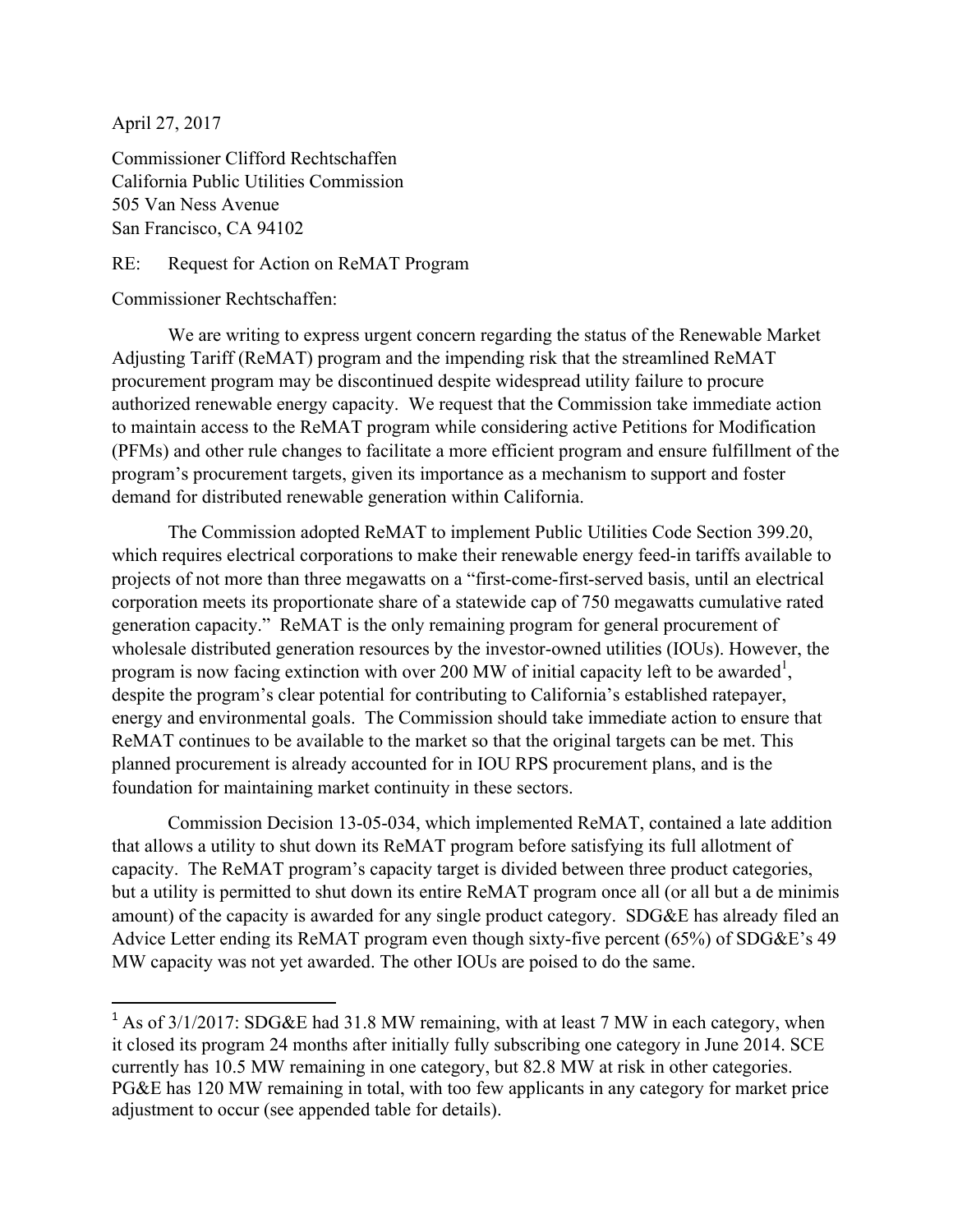April 27, 2017

Commissioner Clifford Rechtschaffen California Public Utilities Commission 505 Van Ness Avenue San Francisco, CA 94102

RE: Request for Action on ReMAT Program

Commissioner Rechtschaffen:

<u> 1989 - Jan Samuel Barbara, margaret e</u>

We are writing to express urgent concern regarding the status of the Renewable Market Adjusting Tariff (ReMAT) program and the impending risk that the streamlined ReMAT procurement program may be discontinued despite widespread utility failure to procure authorized renewable energy capacity. We request that the Commission take immediate action to maintain access to the ReMAT program while considering active Petitions for Modification (PFMs) and other rule changes to facilitate a more efficient program and ensure fulfillment of the program's procurement targets, given its importance as a mechanism to support and foster demand for distributed renewable generation within California.

The Commission adopted ReMAT to implement Public Utilities Code Section 399.20, which requires electrical corporations to make their renewable energy feed-in tariffs available to projects of not more than three megawatts on a "first-come-first-served basis, until an electrical corporation meets its proportionate share of a statewide cap of 750 megawatts cumulative rated generation capacity." ReMAT is the only remaining program for general procurement of wholesale distributed generation resources by the investor-owned utilities (IOUs). However, the program is now facing extinction with over 200 MW of initial capacity left to be awarded<sup>1</sup>, despite the program's clear potential for contributing to California's established ratepayer, energy and environmental goals. The Commission should take immediate action to ensure that ReMAT continues to be available to the market so that the original targets can be met. This planned procurement is already accounted for in IOU RPS procurement plans, and is the foundation for maintaining market continuity in these sectors.

Commission Decision 13-05-034, which implemented ReMAT, contained a late addition that allows a utility to shut down its ReMAT program before satisfying its full allotment of capacity. The ReMAT program's capacity target is divided between three product categories, but a utility is permitted to shut down its entire ReMAT program once all (or all but a de minimis amount) of the capacity is awarded for any single product category. SDG&E has already filed an Advice Letter ending its ReMAT program even though sixty-five percent (65%) of SDG&E's 49 MW capacity was not yet awarded. The other IOUs are poised to do the same.

<sup>&</sup>lt;sup>1</sup> As of  $3/1/2017$ : SDG&E had 31.8 MW remaining, with at least 7 MW in each category, when it closed its program 24 months after initially fully subscribing one category in June 2014. SCE currently has 10.5 MW remaining in one category, but 82.8 MW at risk in other categories. PG&E has 120 MW remaining in total, with too few applicants in any category for market price adjustment to occur (see appended table for details).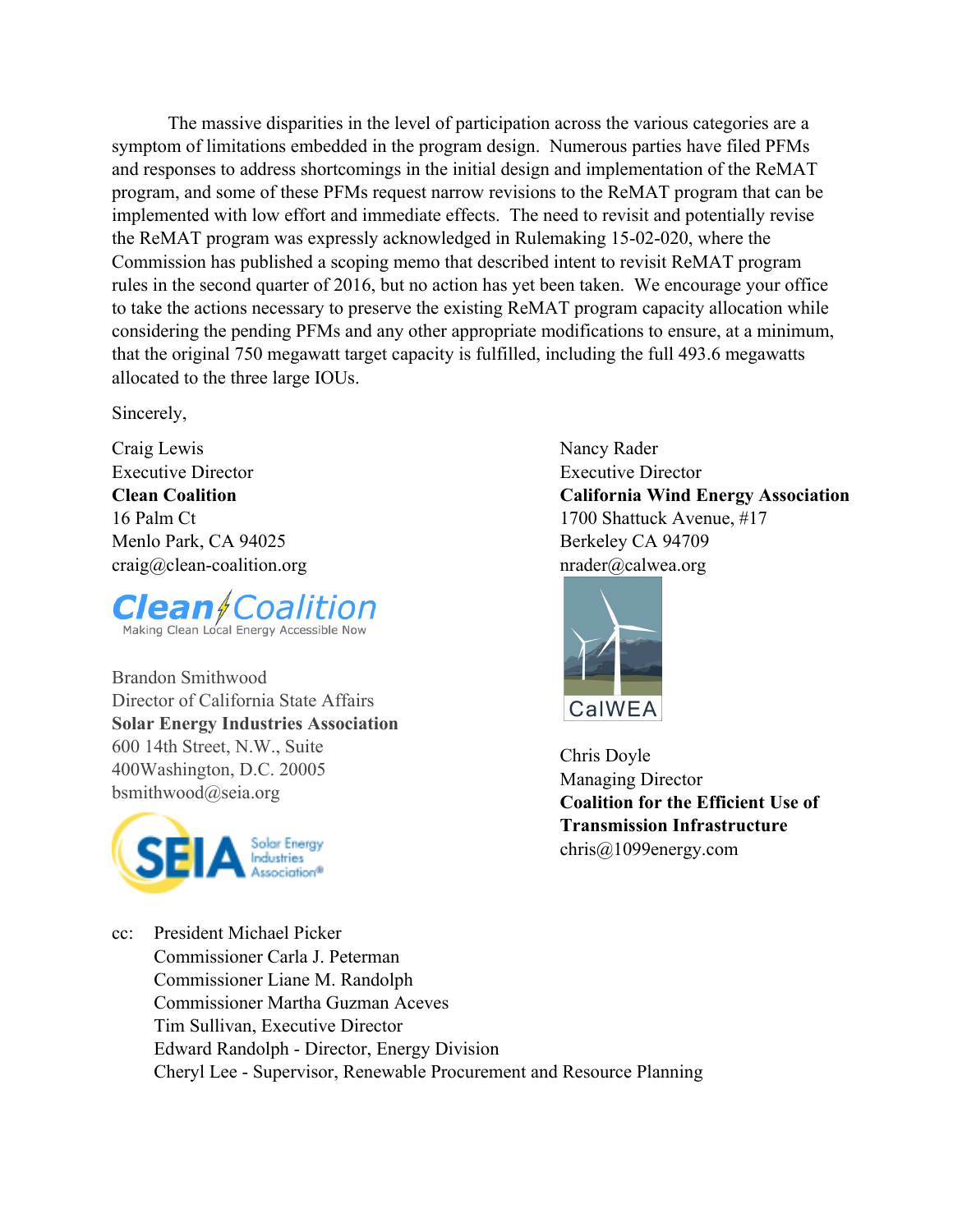The massive disparities in the level of participation across the various categories are a symptom of limitations embedded in the program design. Numerous parties have filed PFMs and responses to address shortcomings in the initial design and implementation of the ReMAT program, and some of these PFMs request narrow revisions to the ReMAT program that can be implemented with low effort and immediate effects. The need to revisit and potentially revise the ReMAT program was expressly acknowledged in Rulemaking 15-02-020, where the Commission has published a scoping memo that described intent to revisit ReMAT program rules in the second quarter of 2016, but no action has yet been taken. We encourage your office to take the actions necessary to preserve the existing ReMAT program capacity allocation while considering the pending PFMs and any other appropriate modifications to ensure, at a minimum, that the original 750 megawatt target capacity is fulfilled, including the full 493.6 megawatts allocated to the three large IOUs.

Sincerely,

Craig Lewis Executive Director **Clean Coalition** 16 Palm Ct Menlo Park, CA 94025 craig@clean-coalition.org



Brandon Smithwood Director of California State Affairs **Solar Energy Industries Association** 600 14th Street, N.W., Suite 400Washington, D.C. 20005 bsmithwood@seia.org



Nancy Rader Executive Director **California Wind Energy Association** 1700 Shattuck Avenue, #17 Berkeley CA 94709 nrader@calwea.org



Chris Doyle Managing Director **Coalition for the Efficient Use of Transmission Infrastructure** chris@1099energy.com

cc: President Michael Picker Commissioner Carla J. Peterman Commissioner Liane M. Randolph Commissioner Martha Guzman Aceves Tim Sullivan, Executive Director Edward Randolph - Director, Energy Division Cheryl Lee - Supervisor, Renewable Procurement and Resource Planning